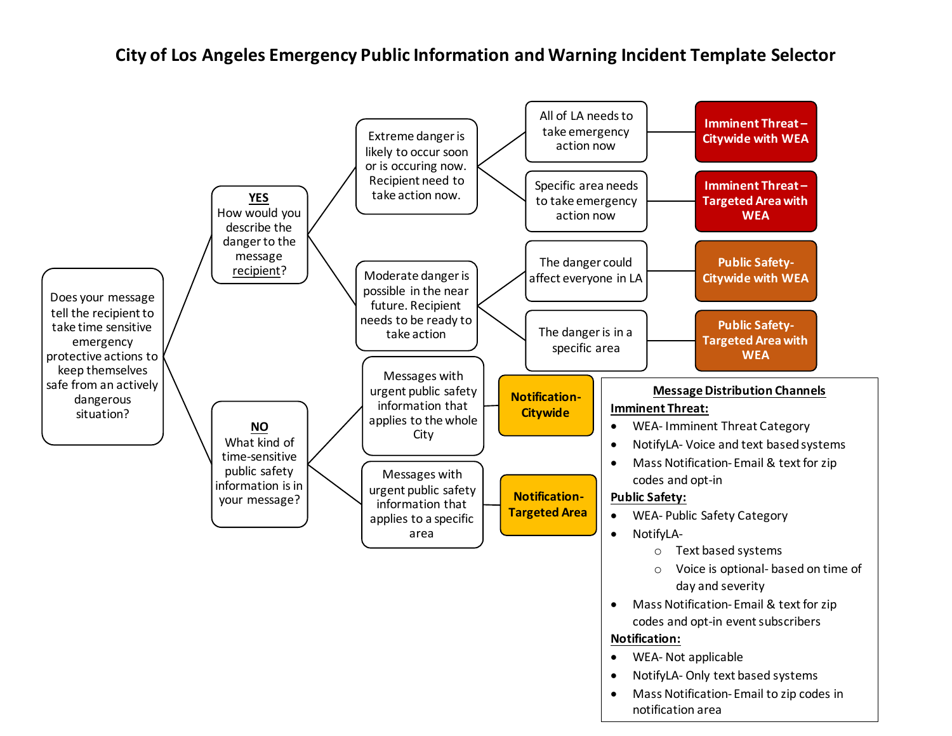**City of Los Angeles Emergency Public Information and Warning Incident Template Selector**